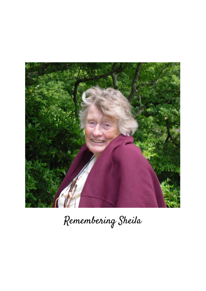

Remembering Sheila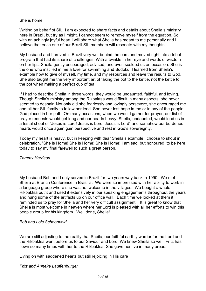## She is home!

Writing on behalf of SIL, I am expected to share facts and details about Sheila's ministry here in Brazil, but try as I might, I cannot seem to remove myself from the equation. So with an achingly joyful heart I will share what Sheila has meant to me personally and I believe that each one of our Brazil SIL members will resonate with my thoughts.

My husband and I arrived in Brazil very wet behind the ears and moved right into a tribal program that had its share of challenges. With a twinkle in her eye and words of wisdom on her lips, Sheila gently encouraged, advised, and even scolded us on occasion. She is the one who instilled in me a love for swimming and Sudoku. I learned from Sheila's example how to give of myself, my time, and my resources and leave the results to God. She also taught me the very important art of taking the pot to the kettle, not the kettle to the pot when making a perfect cup of tea.

If I had to describe Sheila in three words, they would be undaunted, faithful, and loving. Though Sheila's ministry among the Rikbaktsa was difficult in many aspects, she never seemed to despair. Not only did she fearlessly and lovingly persevere, she encouraged me and all her SIL family to follow her lead. She never lost hope in me or in any of the people God placed in her path. On many occasions, when we would gather for prayer, our list of prayer requests would get long and our hearts heavy. Sheila, undaunted, would lead us in a festal shout of "Jesus is Lord! Jesus is Lord! Jesus is Lord" and somehow our burdened hearts would once again gain perspective and rest in God's sovereignty.

Today my heart is heavy, but in keeping with dear Sheila's example I choose to shout in celebration, "She is Home! She is Home! She is Home! I am sad, but honoured, to be here today to say my final farewell to such a great person.

-------

*Tammy Harrison*

My husband Bob and I only served in Brazil for two years way back in 1990. We met Sheila at Branch Conference in Brasilia. We were so impressed with her ability to work in a language group where she was not welcome in the villages. We bought a whole Rikbaktsa outfit and used it extensively in our speaking engagements throughout the years and hung some of the artifacts up on our office wall. Each time we looked at them it reminded us to pray for Sheila and her very difficult assignment. It is great to know that Sheila is most welcome in heaven where her Lord is pleased with all her efforts to win this people group for his kingdom. Well done, Sheila!

## *Bob and Lois Schoonveld*

We are still adjusting to the reality that Sheila, our faithful earthly warrior for the Lord and the Rikbaktsa went before us to our Saviour and Lord! We knew Sheila so well. Fritz has flown so many times with her to the Rikbaktsa. She gave her live in many areas.

-------

Living on with saddened hearts but still rejoicing in His care

*Fritz and Anneke Lauffenburger*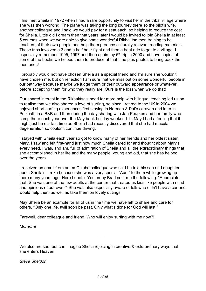I first met Sheila in 1972 when I had a rare opportunity to visit her in the tribal village where she was then working. The plane was taking the long journey there so the pilot's wife, another colleague and I said we would pay for a seat each, so helping to reduce the cost for Sheila. Little did I dream then that years later I would be invited to join Sheila in at least 5 courses when we were able to give some wonderful Rikbaktsa men training to be teachers of their own people and help them produce culturally relevant reading materials. These trips involved a 3 and a half hour flight and then a boat ride to get to a village. I especially remember 1995, 1997 and then again my 5<sup>th</sup> trip in 2000 and have copies of some of the books we helped them to produce at that time plus photos to bring back the memories!

I probably would not have chosen Sheila as a special friend and I'm sure she wouldn't have chosen me, but on reflection I am sure that we miss out on some wonderful people in our pathway because maybe we judge them or their outward appearance or whatever, before accepting them for who they really are. Ours is the loss when we do that!

Our shared interest in the Rikbaktsa's need for more help with bilingual teaching led us on to realise that we also shared a love of surfing, so since I retired to the UK in 2004 we enjoyed short surfing experiences first staying in Norman & Pat's caravan and later in Polzeath in a B&B and then during the day sharing with Jan Pearkes and her family who camp there each year over the May bank holiday weekend. In May I had a feeling that it might just be our last time as Sheila had recently discovered that she had macular degeneration so couldn't continue driving.

I stayed with Sheila each year so got to know many of her friends and her oldest sister, Mary. I saw and felt first-hand just how much Sheila cared for and thought about Mary's every need. I was, and am, full of admiration of Sheila and all the extraordinary things that she accomplished in her life and the many people, young and old, that she has helped over the years.

I received an email from an ex-Cuiaba colleague who said he told his son and daughter about Sheila's stroke because she was a very special "Aunt" to them while growing up there many years ago. Here I quote "Yesterday Brad sent me the following: "Appreciate that. She was one of the few adults at the center that treated us kids like people with mind and opinions of our own."" She was also especially aware of folk who didn't have a car and would help them as well as take them on lovely outings.

May Sheila be an example for all of us in the time we have left to share and care for others. "Only one life, twill soon be past, Only what's done for God will last."

Farewell, dear colleague and friend. Who will enjoy surfing with me now?!

*Margaret*

We also are sad, but can imagine Sheila rejoicing in creative & extraordinary ways that she enters Heaven.

-------

*Steve Sheldon*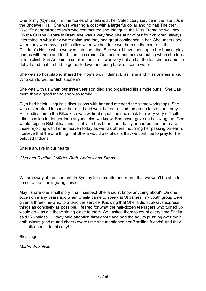One of my (Cynthia) first memories of Sheila is at her Valedictory service in the late 50s in the Bridewell Hall. She was wearing a coat with a large fur collar and no hat! The then Wycliffe general secretary's wife commented she 'Not quite the Miss Tremaine we know' On the Cuiaba Centre in Brazil she was a very favourite aunt of our four children, always interested in what they were doing and they had great confidence in her. She understood when they were having difficulties when we had to leave them on the centre in the Children's Home when we went into the tribe. She would have them up to her house, play games with them and feed them ice cream. One son remembers an outing when she took him to climb San Antonio, a small mountain. It was very hot and at the top she became so dehydrated that he had to go back down and bring back up some water.

She was so hospitable, shared her home with Indians, Brasilians and missionaries alike. Who can forget her fish suppers?

She was with us when our three year son died and organised his simple burial. She was more than a good friend she was family.

Glyn had helpful linguistic discussions with her and attended the same workshops. She was never afraid to speak her mind and would often remind the group to stop and pray. Her dedication to the Rikbaktsa was without equal and she stuck to a very very difficult tribal location for longer than anyone else we know. She never gave up believing that God would reign in Rikbaktsa land. That faith has been abundantly honoured and there are those rejoicing with her in heaven today as well as others mourning her passing on earth. I believe that the one thing that Sheila would ask of us is that we continue to pray for her beloved Indians.'

Sheila always in our hearts

*Glyn and Cynthia Griffiths, Ruth, Andrew and Simon*.

We are away at the moment (in Sydney for a month) and regret that we won't be able to come to the thanksgiving service.

-------

May I share one small story, that I suspect Sheila didn't know anything about? On one occasion many years ago when Sheila came to speak at St James, my youth group were given a three-line-whip to attend the service. Knowing that Sheila didn't always express things as concisely as possible, I feared for what the half-dozen teenagers who turned up would do – as did those sitting close to them. So I asked them to count every time Sheila said "Rikbaktsa" … they paid attention throughout and had the adults puzzling over their enthusiasm (and muted cheer) every time she mentioned her Brazilian friends! And they still talk about it to this day!

**Blessings** 

*Martin Wakefield*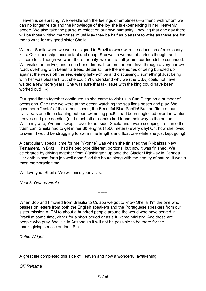Heaven is celebrating! We wrestle with the feelings of emptiness—a friend with whom we can no longer relate and the knowledge of the joy she is experiencing in her Heavenly abode. We also take the pause to reflect on our own humanity, knowing that one day there will be those writing memories of us! May they be half as pleasant to write as these are for me to write for my good sister Sheila.

We met Sheila when we were assigned to Brazil to work with the education of missionary kids. Our friendship became fast and deep. She was a woman of serious thought and sincere fun. Though we were there for only two and a half years, our friendship continued. We visited her in England a number of times. I remember one drive through a very narrow road, overhung with beautiful trees. Better still are the memories of being bundled up against the winds off the sea, eating fish-n-chips and discussing…something! Just being with her was pleasant. But she couldn't understand why we (the USA) could not have waited a few more years. She was sure that tax issue with the king could have been worked out! :-)

Our good times together continued as she came to visit us in San Diego on a number of occasions. One time we were at the ocean watching the sea lions beach and play. We gave her a "taste" of the "other" ocean, the Beautiful Blue Pacific! But the "time of our lives" was one time cleaning out our swimming pool! It had been neglected over the winter. Leaves and pine needles (and much other debris) had found their way to the bottom. While my wife, Yvonne, swept it over to our side, Sheila and I were scooping it out into the trash can! Sheila had to get in her 80 lengths (1500 meters) every day! Oh, how she loved to swim. I would be struggling to swim nine lengths and float one while she just kept going!

A particularly special time for me (Yvonne) was when she finished the Rikbaktsa New Testament. In Brazil, I had helped type different portions, but now it was finished. We celebrated by driving together from Washington up onto the Glacier Highway in Canada. Her enthusiasm for a job well done filled the hours along with the beauty of nature. It was a most memorable time.

We love you, Sheila. We will miss your visits.

*Neal & Yvonne Pirolo*

When Bob and I moved from Brasília to Cuiabá we got to know Sheila. I'm the one who passes on letters from both the English speakers and the Portuguese speakers from our sister mission ALEM to about a hundred people around the world who have served in Brazil at some time, either for a short period or as a full-time ministry. And these are people who pray. We live in Arizona so it will not be possible to be there for the thanksgiving service on the 18th.

-------

*Dottie Wright*

A great life completed this side of Heaven and now a wonderful awakening.

*Gill Reitsma*

-------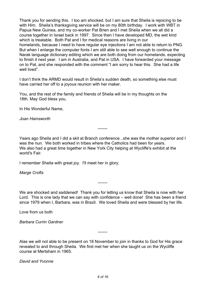Thank you for sending this. I too am shocked, but I am sure that Sheila is rejoicing to be with Him. Sheila's thanksgiving service will be on my 80th birthday. I work with WBT in Papua New Guinea, and my co-worker Pat Brien and I met Sheila when we all did a course together in Israel back in 1997. Since then I have developed MD, the wet kind which is treatable. Both Pat and I for medical reasons are living in our homelands, because I need to have regular eye injections I am not able to return to PNG. But when I enlarge the computer fonts I am still able to see well enough to continue the Narak language dictionary editing which we are both doing from our homelands, expecting to finish it next year. I am in Australia, and Pat in USA. I have forwarded your message on to Pat, and she responded with the comment "I am sorry to hear this. She had a life well lived".

I don't think the ARMD would result in Sheila's sudden death, so something else must have carried her off to a joyous reunion with her maker.

You, and the rest of the family and friends of Sheila will be in my thoughts on the 18th. May God bless you,

In His Wonderful Name,

*Joan Hainsworth*

Years ago Sheila and I did a skit at Branch conference...she was the mother superior and I was the nun. We both worked in tribes where the Catholics had been for years. We also had a great time together in New York City helping at Wycliffe's exhibit at the world's Fair.

-------

I remember Sheila with great joy. I'll meet her in glory.

*Marge Crofts*

We are shocked and saddened! Thank you for letting us know that Sheila is now with her Lord. This is one lady that we can say with confidence – well done! She has been a friend since 1979 when I, Barbara, was in Brazil. We loved Sheila and were blessed by her life.

-------

Love from us both

*Barbara Currin Gardner*

Alas we will not able to be present on 18 November to join in thanks to God for His grace revealed to and through Sheila. We first met her when she taught us on the Wycliffe course at Mertsham in 1965.

-------

*David and Yvonne*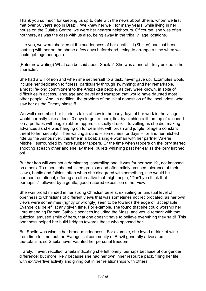Thank you so much for keeping us up to date with the news about Sheila, whom we first met over 50 years ago in Brazil. We knew her well; for many years, while living in her house on the Cuiaba Centre, we were her nearest neighbours. Of course, she was often not there, as was the case with us also, being away in the tribal village locations.

Like you, we were shocked at the suddenness of her death -- I (Shirley) had just been chatting with her on the phone a few days beforehand, trying to arrange a time when we could get together again.

(Peter now writing) What can be said about Sheila? She was a one-off, truly unique in her character.

She had a will of iron and when she set herself to a task, never gave up. Examples would include her dedication to fitness, particularly through swimming; and her remarkable, almost life-long commitment to the Arikpaktsa people, as they were known, in spite of difficulties in access, language and travel and transport that would have daunted most other people. And, in addition, the problem of the initial opposition of the local priest, who saw her as the Enemy himself!

We well remember her hilarious tales of how in the early days of her work in the village, it would normally take at least 3 days to get to there, first by hitching a lift on top of a loaded lorry, perhaps with eager rubber tappers -- usually drunk -- travelling as she did, making advances as she was hanging on for dear life, with brush and jungle foliage a constant threat to her security! Then waiting around -- sometimes for days -- for another hitched ride up the Arinos river, this time in a boat: a single woman with her partner Valerie Mitchell, surrounded by more rubber tappers. Or the time when tappers on the lorry started shooting at each other and she lay there, bullets whistling past her ear as the lorry lurched on!

But her iron will was not a dominating, controlling one; it was for her own life, not imposed on others. To others, she exhibited gracious and often mildly amused tolerance of their views, habits and foibles; often when she disagreed with something, she would be non-confrontational, offering an alternative that might begin, "Don't you think that perhaps..." followed by a gentle, good-natured exposition of her view.

She was broad minded in her strong Christian beliefs, exhibiting an unusual level of openness to Christians of different views that was sometimes not reciprocated, as her own views were sometimes (rightly or wrongly) seen to be towards the edge of "acceptable Evangelical belief" at any given time. For example, she found that she could worship her Lord attending Roman Catholic services including the Mass, and would remark with that quizzical amused smile of hers, that one doesn't have to believe everything they said! This openness helped her build bridges towards those who opposed her.

But Sheila was wise in her broad-mindedness. For example, she loved a drink of wine from time to time, but the Evangelical community of Brazil generally advocated tee-totalism, so Sheila never vaunted her personal freedom.

I rarely, if ever, recollect Sheila indicating she felt lonely; perhaps because of our gender difference; but more likely because she had her own inner resource pack, filling her life with extrovertive activity and giving out in her relationships with others.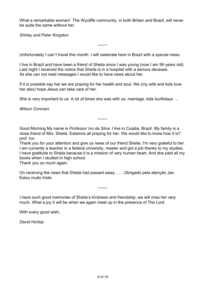What a remarkable woman! The Wycliffe community, in both Britain and Brazil, will never be quite the same without her.

*Shirley and Peter Kingston*

Unfortunately I can´t travel this month. I will celebrate here in Brazil with a special mass.

-------

I live in Brazil and have been a friend of Sheila since I was young (now I am 56 years old). Last night I received the notice that Sheila is in a hospital with a serious decease. As she can not read messages I would like to have news about her.

If it is possible say her we are praying for her health and soul. We (my wife and kids love her also) hope Jesus can take care of her.

She is very important to us. A lot of times she was with us: marriage, kids burthdays ...

*Wilson Conciani*

Good Morning My name is *Professor Ivo da Silva*, I live in Cuiaba, Brazil. My family is a close friend of Mrs. Sheila. Estamos all praying for her. We would like to know how it is? prof. Ivo

-------

Thank you for your attention and give us news of our friend Sheila. I'm very grateful to her. I am currently a teacher in a federal university, master and got a job thanks to my studies. I have gratitude to Sheila because it is a mission of very human heart. And she paid all my books when I studied in high school.

Thank you so much again.

On receiving the news that Sheila had passed away…….Obrigado pela atenção Jan. Estou muito triste.

I have such good memories of Sheila's kindness and friendship, we will miss her very much. What a joy it will be when we again meet up in the presence of The Lord.

-------

With every good wish,

*David Hortop*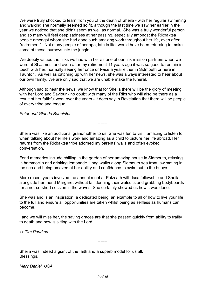We were truly shocked to learn from you of the death of Sheila - with her regular swimming and walking she normally seemed so fit, although the last time we saw her earlier in the year we noticed that she didn't seem as well as normal. She was a truly wonderful person and so many will feel deep sadness at her passing, especially amongst the Rikbaktsa people amongst whom she had done such amazing work throughout her life, even after "retirement". Not many people of her age, late in life, would have been returning to make some of those journeys into the jungle.

We deeply valued the links we had with her as one of our link mission partners when we were at St James, and even after my retirement 11 years ago it was so good to remain in touch with her, normally seeing her once or twice a year either in Sidmouth or here in Taunton. As well as catching up with her news, she was always interested to hear about our own family. We are only sad that we are unable make the funeral.

Although sad to hear the news, we know that for Sheila there will be the glory of meeting with her Lord and Saviour - no doubt with many of the Riks who will also be there as a result of her faithful work over the years - it does say in Revelation that there will be people of every tribe and tongue!

## *Peter and Glenda Bannister*

Sheila was like an additional grandmother to us. She was fun to visit, amazing to listen to when talking about her life's work and amazing as a child to picture her life abroad. Her returns from the Rikbaktsa tribe adorned my parents' walls and often evoked conversation.

-------

Fond memories include chilling in the garden of her amazing house in Sidmouth, relaxing in hammocks and drinking lemonade. Long walks along Sidmouth sea front, swimming in the sea and being amazed at her ability and confidence to swim out to the buoys.

More recent years involved the annual meet at Polzeath with Isca fellowship and Sheila alongside her friend Margaret without fail donning their wetsuits and grabbing bodyboards for a not-so-short session in the waves. She certainly showed us how it was done.

She was and is an inspiration, a dedicated being, an example to all of how to live your life to the full and ensure all opportunities are taken whilst being as selfless as humans can become.

I and we will miss her, the saving graces are that she passed quickly from ability to frailty to death and now is sitting with the Lord.

-------

*xx Tim Pearkes*

Sheila was indeed a giant of the faith and a superb model for us all. Blessings,

*Mary Daniel, USA*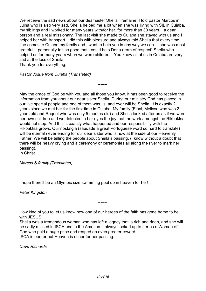We receive the sad news about our dear sister Sheila Tremaine. I told pastor Marcos in Juina who is also very sad. Sheila helped me a lot when she was living with SIL in Cuiaba, my siblings and I worked for many years with/for her, for more than 30 years... a dear person and a real missionary. The last visit she made to Cuiaba she stayed with us and I helped her with transport. I did this with pleasure and always told Sheila that every time she comes to Cuiaba my family and I want to help you in any way we can.... she was most grateful. I personally felt so good that I could help Dona (term of respect) Sheila who helped us for many years when we were children... You know all of us in Cuiaba are very sad at the loss of Sheila.

Thank you for everything.

*Pastor Josué from Cuiaba (Translated)*

May the grace of God be with you and all those you know. It has been good to receive the information from you about our dear sister Sheila. During our ministry God has placed in our live special people and one of them was, is, and ever will be Sheila. It is exactly 21 years since we met her for the first time in Cuiaba. My family (Elani, Melissa who was 2 years old and Raquel who was only 5 months old) and Sheila looked after us as if we were her own children and we detected in her eyes the joy that the work amongst the Rikbaktsa would not stop. And this is exactly what happened and our responsibility with the Rikbaktsa grows. Our nostalgia (saudade a great Portuguese word so hard to translate) will be eternal never ending for our dear sister who is now at the side of our Heavenly Father. We will be telling the people about Sheila's passing. (I know without a doubt that there will be heavy crying and a ceremony or ceremonies all along the river to mark her passing).

-------

-------

In Christ

*Marcos & family (Translated)*

I hope there'll be an Olympic size swimming pool up in heaven for her!

*Peter Kingston*

How kind of you to let us know how one of our heroes of the faith has gone home to be with JESUS!

-------

Sheila was a tremendous woman who has left a legacy that is rich and deep, and she will be sadly missed in ISCA and in the Amazon. I always looked up to her as a Woman of God who paid a huge price and reaped an even greater reward. ISCA is poorer but Heaven is richer for her passing.

*Dave Richards*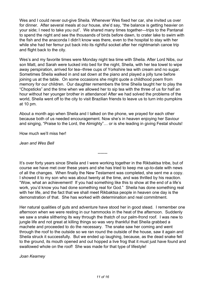Wes and I could never out-give Sheila. Whenever Wes fixed her car, she invited us over for dinner. After several meals at our house, she'd say, "the balance is getting heavier on your side; I need to take you out". We shared many times together—trips to the Pantanal to spend the night and see the thousands of birds before dawn, to crater lake to swim with the fish and the anaconda I didn't know was there, even to the hospital to stay with her while she had her femur put back into its rightful socket after her nightmarish canoe trip and flight back to the city.

Wes's and my favorite times were Monday night tea time with Sheila. After Lord Nibs, our son Matt, and Sarah were tucked into bed for the night, Sheila, with her tea towel to wipe away perspiration, arrived for tea--three cups of Yorkshire tea with cream and no sugar. Sometimes Sheila walked in and sat down at the piano and played a jolly tune before joining us at the table. On some occasions she might quote a childhood poem from memory for our children. Our daughter remembers the time Sheila taught her to play the "Chopsticks" and the time when we allowed her to sip tea with the three of us for half an hour without her younger brother in attendance! After we had solved the problems of the world, Sheila went off to the city to visit Brazilian friends to leave us to turn into pumpkins at 10 pm.

About a month ago when Sheila and I talked on the phone, we prayed for each other because both of us needed encouragement. Now she's in heaven enjoying her Saviour and singing, "Praise to the Lord, the Almighty"… or is she leading in giving Festal shouts!

How much we'll miss her!

*Jean and Wes Bell*

It's over forty years since Sheila and I were working together in the Rikbaktsa tribe, but of course we have met over these years and she has tried to keep me up-to-date with news of all the changes. When finally the New Testament was completed, she sent me a copy. I showed it to my son who was about twenty at the time, and was thrilled by his reaction. "Wow, what an achievement! If you had something like this to show at the end of a life's work, you'd know you had done something real for God." Sheila has done something real with her life, and the fact that we shall meet Rikbaktsa people in heaven one day is the demonstration of that. She has worked with determination and real commitment.

-------

Her natural qualities of guts and adventure have stood her in good stead. I remember one afternoon when we were resting in our hammocks in the heat of the afternoon. Suddenly we saw a snake slithering its way through the thatch of our palm-frond roof. I was new to jungle life and not great at killing things so was very thankful that Sheila grabbed a machete and proceeded to do the necessary. The snake saw her coming and went through the roof to the outside so we ran round the outside of the house, saw it again and Sheila struck it successfully. But we ended up laughing, because, as the dead snake fell to the ground, its mouth opened and out hopped a live frog that it must just have found and swallowed whole on the roof! She was made for that type of lifestyle!

*Joan Kearney*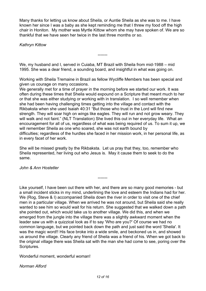Many thanks for letting us know about Sheila, or Auntie Sheila as she was to me. I have known her since I was a baby as she kept reminding me that I threw my food off the high chair in Honiton. My mother was Myrtle Kittow whom she may have spoken of. We are so thankful that we have seen her twice in the last three months or so.

-------

*Kathryn Kittow*

We, my husband and I, served in Cuiaba, MT Brazil with Sheila from mid-1988 – mid 1995. She was a dear friend, a sounding board, and insightful in what was going on.

Working with Sheila Tremaine in Brazil as fellow Wycliffe Members has been special and given us courage on many occasions.

We generally met for a time of prayer in the morning before we started our work. It was often during these times that Sheila would expound on a Scripture that meant much to her or that she was either studying or working with in translation. I so well remember when she had been having challenging times getting into the village and contact with the Rikbaksta when she used Isaiah 40:31 "But those who trust in the Lord will find new strength. They will soar high on wings like eagles. They will run and not grow weary. They will walk and not faint." (NLT Translation) She lived this out in her everyday life. What an encouragement for all of us, regardless of what was being required of us. To sum it up, we will remember Sheila as one who soared, she was not earth bound by difficulties; regardless of the hurdles she faced in her mission work, in her personal life, as in every facet of her work.

She will be missed greatly by the Rikbaksta. Let us pray that they, too, remember who Sheila represented, her living out who Jesus is. May it cause them to seek to do the same.

-------

*John & Ann Hostetler*

Like yourself, I have been out there with her, and there are so many good memories - but a small incident sticks in my mind, underlining the love and esteem the Indians had for her. We (Rog, Steve & I) accompanied Sheila down the river in order to visit one of the chief men in a particular village. When we arrived he was not around, but Sheila said she really wanted to see him so would wait for his return. She suggested that we walked down a path she pointed out, which would take us to another village. We did this, and when we emerged from the jungle into the village there was a slightly awkward moment when the leader saw us with a quizzical look as if to say 'Who are you?' Of course we had no common language, but we pointed back down the path and just said the word 'Sheila'. It was the magic word!! His face broke into a wide smile, and beckoned us in, and showed us around the village. Clearly any friend of Sheila was a friend of his. When we got back to the original village there was Sheila sat with the man she had come to see, poring over the Scriptures.

Wonderful moment, wonderful woman!

*Norman Alford*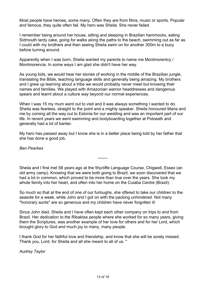Most people have heroes, some many. Often they are from films, music or sports. Popular and famous, they quite often fail. My hero was Sheila. She never failed.

I remember being around her house, sitting and sleeping in Brazilian hammocks, eating Sidmouth lardy cake, going for walks along the paths to the beach, swimming out as far as I could with my brothers and then seeing Sheila swim on for another 300m to a buoy before turning around.

Apparently when I was born, Sheila wanted my parents to name me Montmorentcy / Montmorencia. In some ways I am glad she didn't have her way.

As young kids, we would hear her stories of working in the middle of the Brazilian jungle, translating the Bible, teaching language skills and generally being amazing. My brothers and I grew up learning about a tribe we would probably never meet but knowing their names and families. We played with Amazonian warrior headdresses and dangerous spears and learnt about a culture way beyond our normal experiences.

When I was 15 my mum went out to visit and it was always something I wanted to do. Sheila was fearless, straight to the point and a mighty speaker. Sheila honoured Maria and me by coming all the way out to Estonia for our wedding and was an important part of our life. In recent years we went swimming and bodyboarding together at Polzeath and generally had a lot of banter.

My hero has passed away but I know she is in a better place being told by her father that she has done a good job.

*Ben Pearkes*

Sheila and I first met 58 years ago at the Wycliffe Language Course, Chigwell, Essex (an old army camp). Knowing that we were both going to Brazil, we soon discovered that we had a lot in common, which proved to be more than true over the years. She took my whole family into her heart, and often into her home on the Cuiaba Centre (Brazil).

-------

So much so that at the end of one of our furloughs, she offered to take our children to the seaside for a week, while John and I got on with the packing unhindered. Not many "honorary aunts" are so generous and my children have never forgotten it!

Since John died, Sheila and I have often kept each other company on trips to and from Brazil. Her dedication to the Ribaktsa people where she worked for so many years, giving them the Scriptures, was another example of her love for others and for her Lord, which brought glory to God and much joy to many, many people.

I thank God for her faithful love and friendship, and know that she will be sorely missed. Thank you, Lord, for Sheila and all she meant to all of us. "

*Audrey Taylor*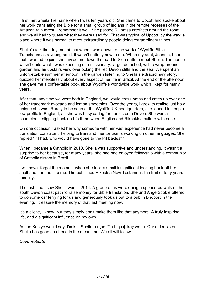I first met Sheila Tremaine when I was ten years old. She came to Upcott and spoke about her work translating the Bible for a small group of Indians in the remote recesses of the Amazon rain forest. I remember it well. She passed Rikbatsa artefacts around the room and we all had to guess what they were used for. That was typical of Upcott, by the way: a place where it was normal to meet extraordinary people doing extraordinary things.

Sheila's talk that day meant that when I was drawn to the work of Wycliffe Bible Translators as a young adult, it wasn't entirely new to me. When my aunt, Jeannie, heard that I wanted to join, she invited me down the road to Sidmouth to meet Sheila. The house wasn't quite what I was expecting of a missionary: large, detached, with a wrap-around garden and an upstairs view overlooking the red Devon cliffs and the sea. We spent an unforgettable summer afternoon in the garden listening to Sheila's extraordinary story. I quizzed her mercilessly about every aspect of her life in Brazil. At the end of the afternoon she gave me a coffee-table book about Wycliffe's worldwide work which I kept for many years.

After that, any time we were both in England, we would cross paths and catch up over one of her trademark avocado and lemon smoothies. Over the years, I grew to realise just how unique she was. Rarely to be seen at the Wycliffe-UK headquarters, she tended to keep a low profile in England, as she was busy caring for her sister in Devon. She was a chameleon, slipping back and forth between English and Rikbaktsa culture with ease.

On one occasion I asked her why someone with her vast experience had never become a translation consultant, helping to train and mentor teams working on other languages. She replied "If I had, who would have gone to the Rikbaktsa"?

When I became a Catholic in 2010, Sheila was supportive and understanding. It wasn't a surprise to her because, for many years, she had had enjoyed fellowship with a community of Catholic sisters in Brazil.

I will never forget the moment when she took a small insignificant looking book off her shelf and handed it to me. The published Rikbatsa New Testament: the fruit of forty years tenacity.

The last time I saw Sheila was in 2014. A group of us were doing a sponsored walk of the south Devon coast path to raise money for Bible translation. She and Ange Scoble offered to do some car ferrying for us and generously took us out to a pub in Bridport in the evening. I treasure the memory of that last meeting now.

It's a cliché, I know, but they simply don't make them like that anymore. A truly inspiring life, and a significant influence on my own.

As the Kabiye would say, Đo-koo Sheila tundon. Đa-tuna dukay wobu. Our older sister Sheila has gone on ahead in the meantime. We all will follow.

*Dave Roberts*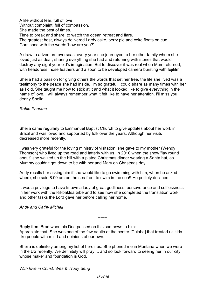A life without fear, full of love Without complaint, full of compassion. She made the best of times. Time to break and share, to watch the ocean retreat and flare. The greatest host, always delivered Lardy cake, berry pie and coke floats on cue. Garnished with the words 'how are you?'

A draw to adventure overseas, every year she journeyed to her other family whom she loved just as dear, sharing everything she had and returning with stories that would destroy any eight year old's imagination. But to discover it was real when Mum returned, with headdress, nose feathers and a soon to be developed camera bursting with fujifilm.

Sheila had a passion for giving others the words that set her free, the life she lived was a testimony to the peace she had inside. I'm so grateful I could share as many times with her as I did. She taught me how to stick at it and what it looked like to give everything in the name of love, I will always remember what it felt like to have her attention. I'll miss you dearly Sheila.

-------

*Robin Pearkes*

Sheila came regularly to Emmanuel Baptist Church to give updates about her work in Brazil and was loved and supported by folk over the years. Although her visits decreased more recently.

I was very grateful for the loving ministry of visitation, she gave to my mother (Wendy Thomson) who lived up the road and latterly with us. In 2010 when the snow "lay round about" she walked up the hill with a plated Christmas dinner wearing a Santa hat, as Mummy couldn't get down to be with her and Mary on Christmas day.

Andy recalls her asking him if she would like to go swimming with him, when he asked where, she said 8.00 am on the sea front to swim in the sea!! He politely declined!

It was a privilege to have known a lady of great godliness, perseverance and selflessness in her work with the Rikbaktsa tribe and to see how she completed the translation work and other tasks the Lord gave her before calling her home.

*Andy and Cathy Michell*

Reply from Brad when his Dad passed on this sad news to him: Appreciate that. She was one of the few adults at the center [Cuiaba] that treated us kids like people with mind and opinions of our own.

-------

Sheila is definitely among my list of heroines. She phoned me in Montana when we were in the US recently. We definitely will pray ... and so look forward to seeing her in our city whose maker and foundation is God.